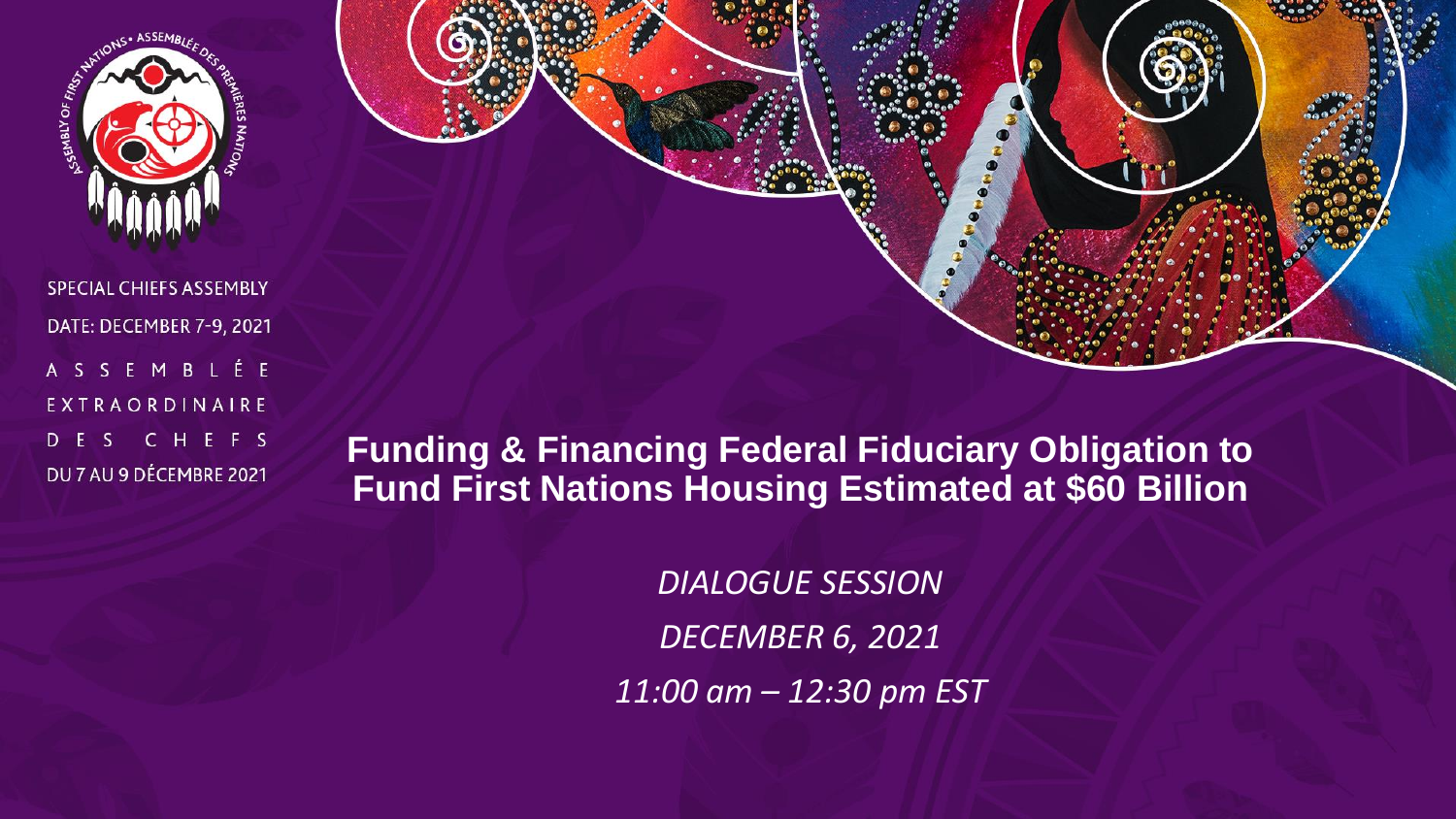

**SPECIAL CHIEFS ASSEMBLY** DATE: DECEMBER 7-9, 2021 A S S E M B L É E EXTRAORDINAIRE CHEFS DU 7 AU 9 DÉCEMBRE 2021

**Funding & Financing Federal Fiduciary Obligation to Fund First Nations Housing Estimated at \$60 Billion** 

> *DIALOGUE SESSION DECEMBER 6, 2021 11:00 am – 12:30 pm EST*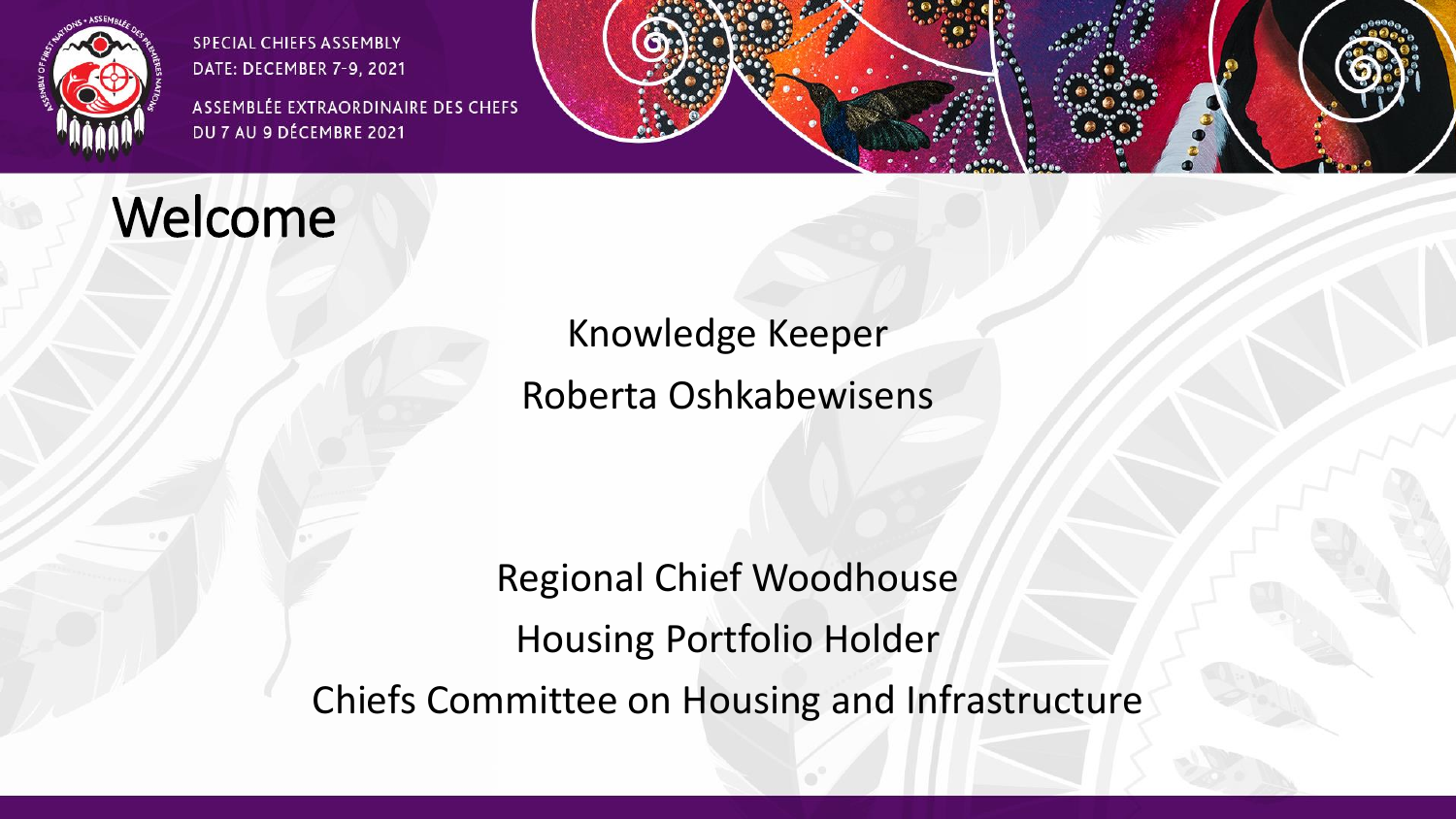

ASSEMBLÉE EXTRAORDINAIRE DES CHEFS DU 7 AU 9 DÉCEMBRE 2021



## Welcome

Knowledge Keeper

Roberta Oshkabewisens

Regional Chief Woodhouse Housing Portfolio Holder Chiefs Committee on Housing and Infrastructure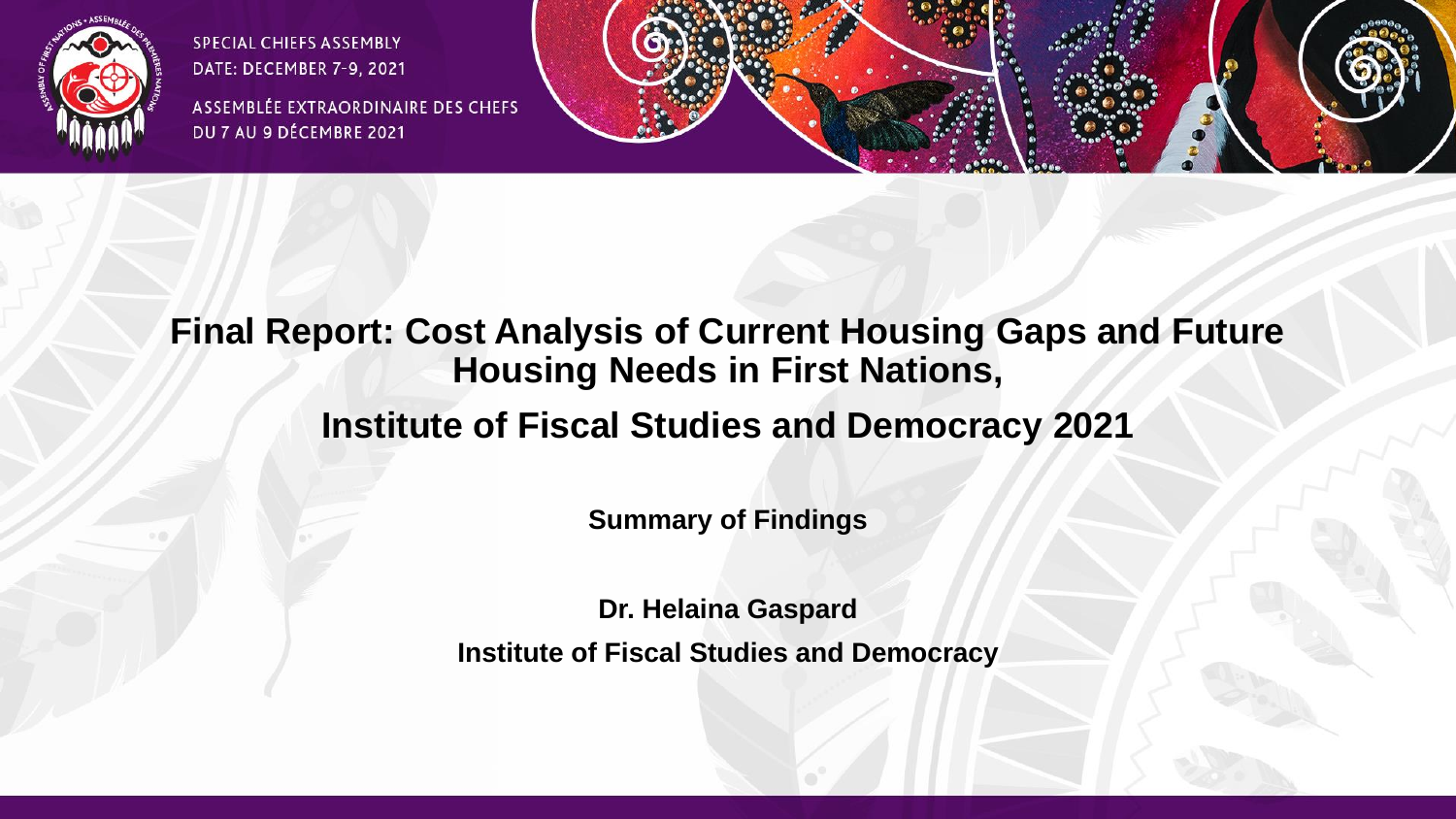

ASSEMBLÉE EXTRAORDINAIRE DES CHEFS DU 7 AU 9 DÉCEMBRE 2021



### **Final Report: Cost Analysis of Current Housing Gaps and Future Housing Needs in First Nations, Institute of Fiscal Studies and Democracy 2021**

**Summary of Findings**

**Dr. Helaina Gaspard Institute of Fiscal Studies and Democracy**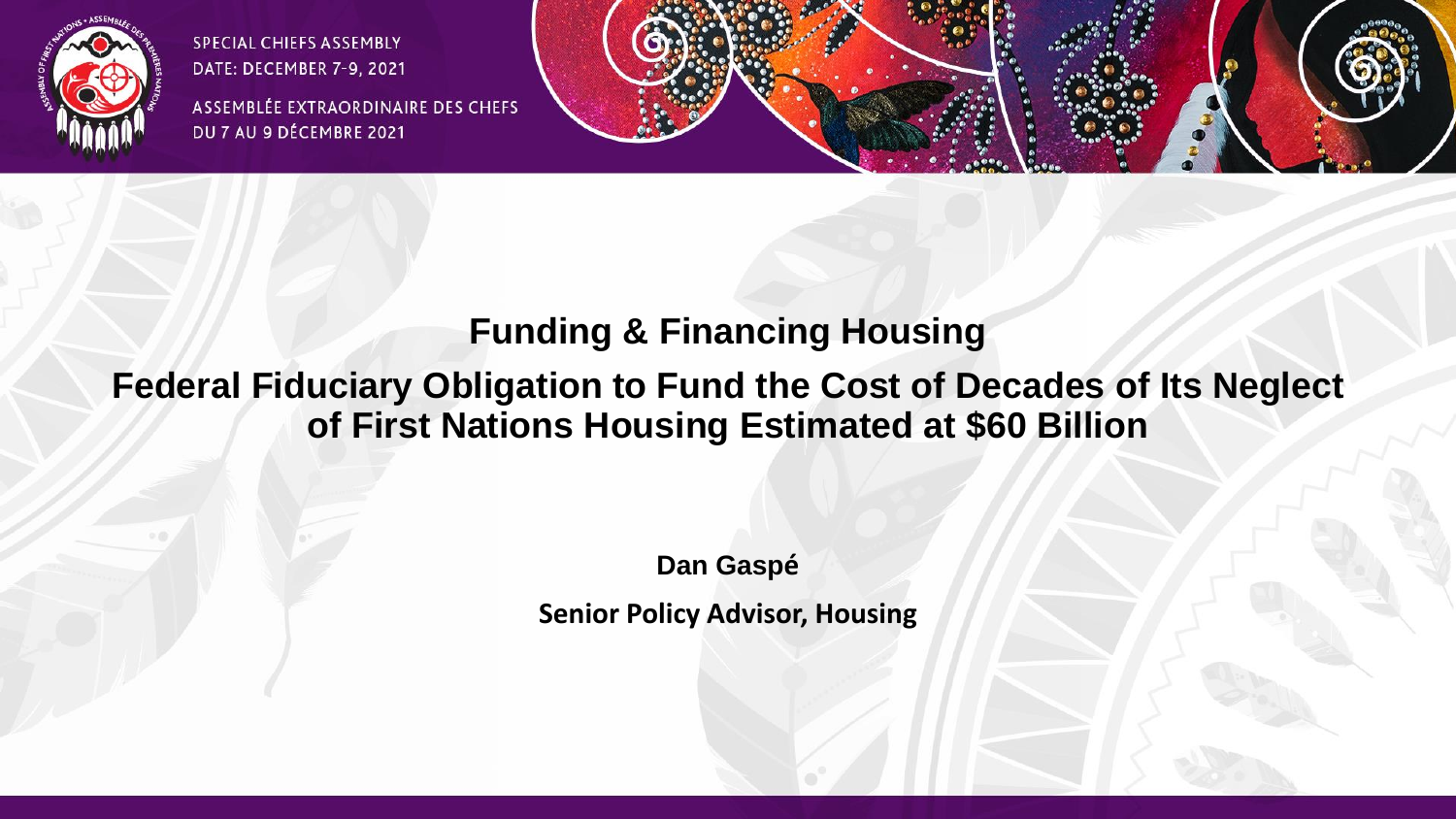

ASSEMBLÉE EXTRAORDINAIRE DES CHEFS DU 7 AU 9 DÉCEMBRE 2021



### **Funding & Financing Housing Federal Fiduciary Obligation to Fund the Cost of Decades of Its Neglect of First Nations Housing Estimated at \$60 Billion**

**Dan Gaspé Senior Policy Advisor, Housing**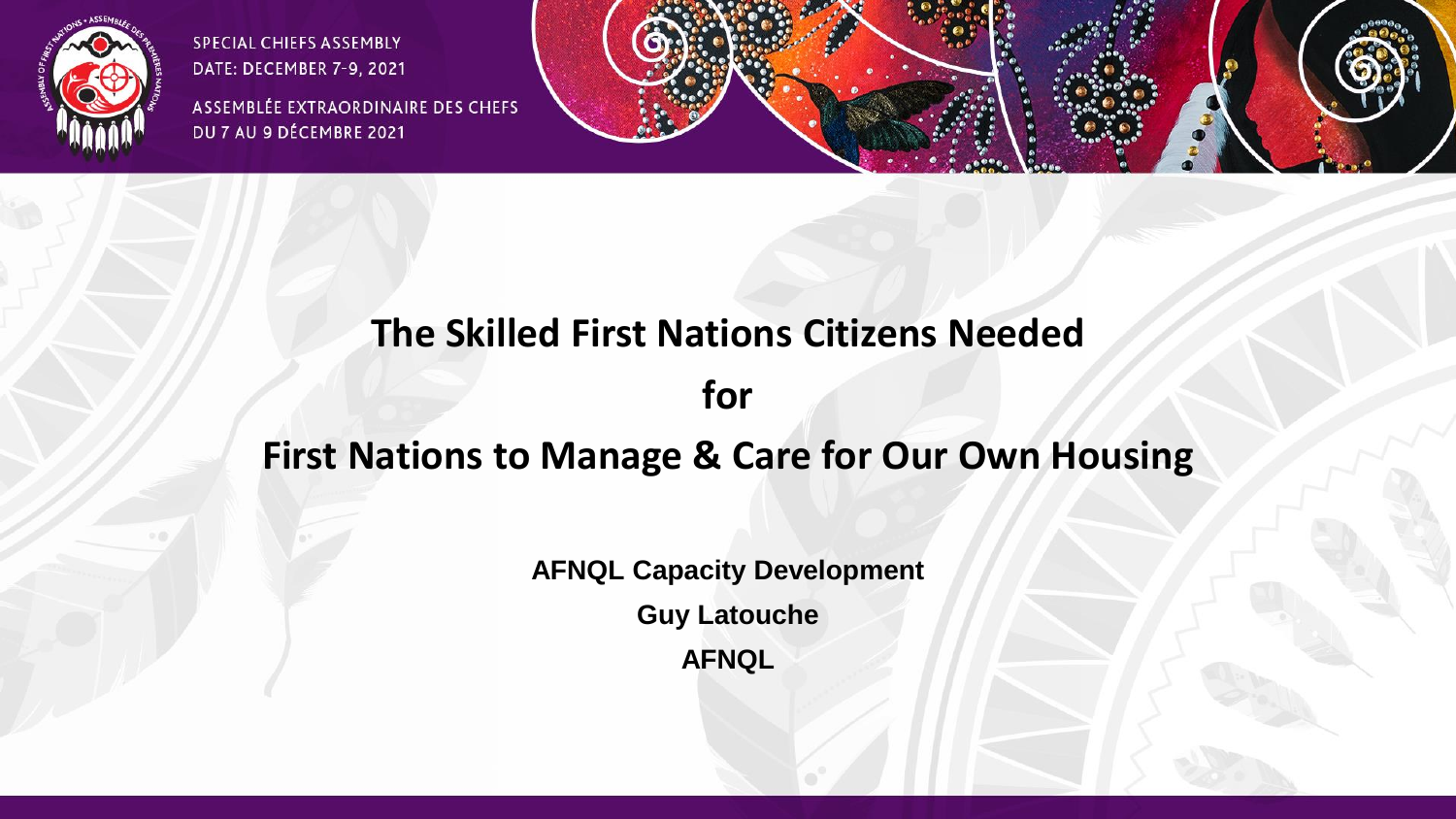

ASSEMBLÉE EXTRAORDINAIRE DES CHEFS DU 7 AU 9 DÉCEMBRE 2021



#### **The Skilled First Nations Citizens Needed**

### **for**

### **First Nations to Manage & Care for Our Own Housing**

**AFNQL Capacity Development** 

**Guy Latouche**

**AFNQL**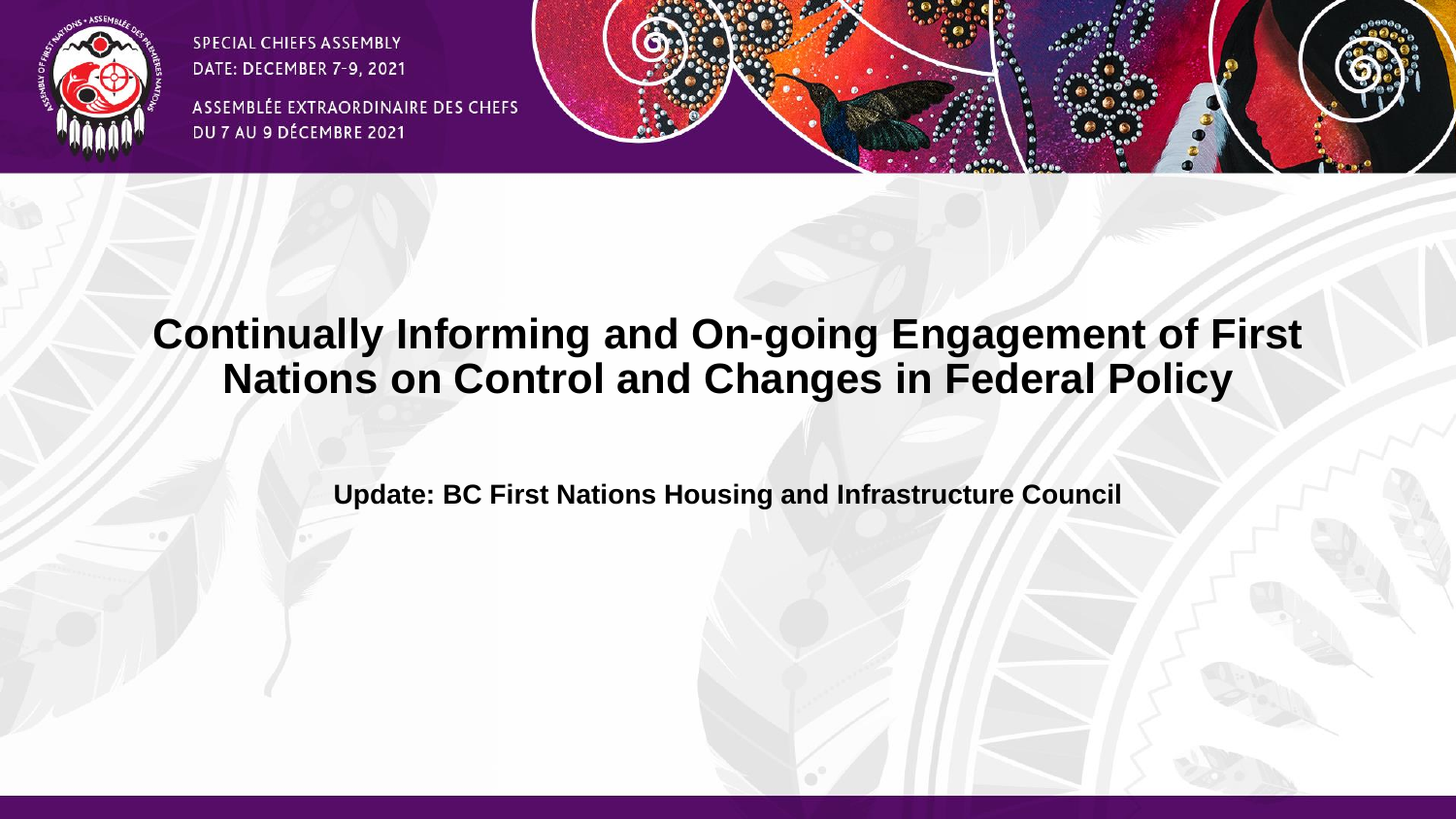

ASSEMBLÉE EXTRAORDINAIRE DES CHEFS DU 7 AU 9 DÉCEMBRE 2021



### **Continually Informing and On-going Engagement of First Nations on Control and Changes in Federal Policy**

**Update: BC First Nations Housing and Infrastructure Council**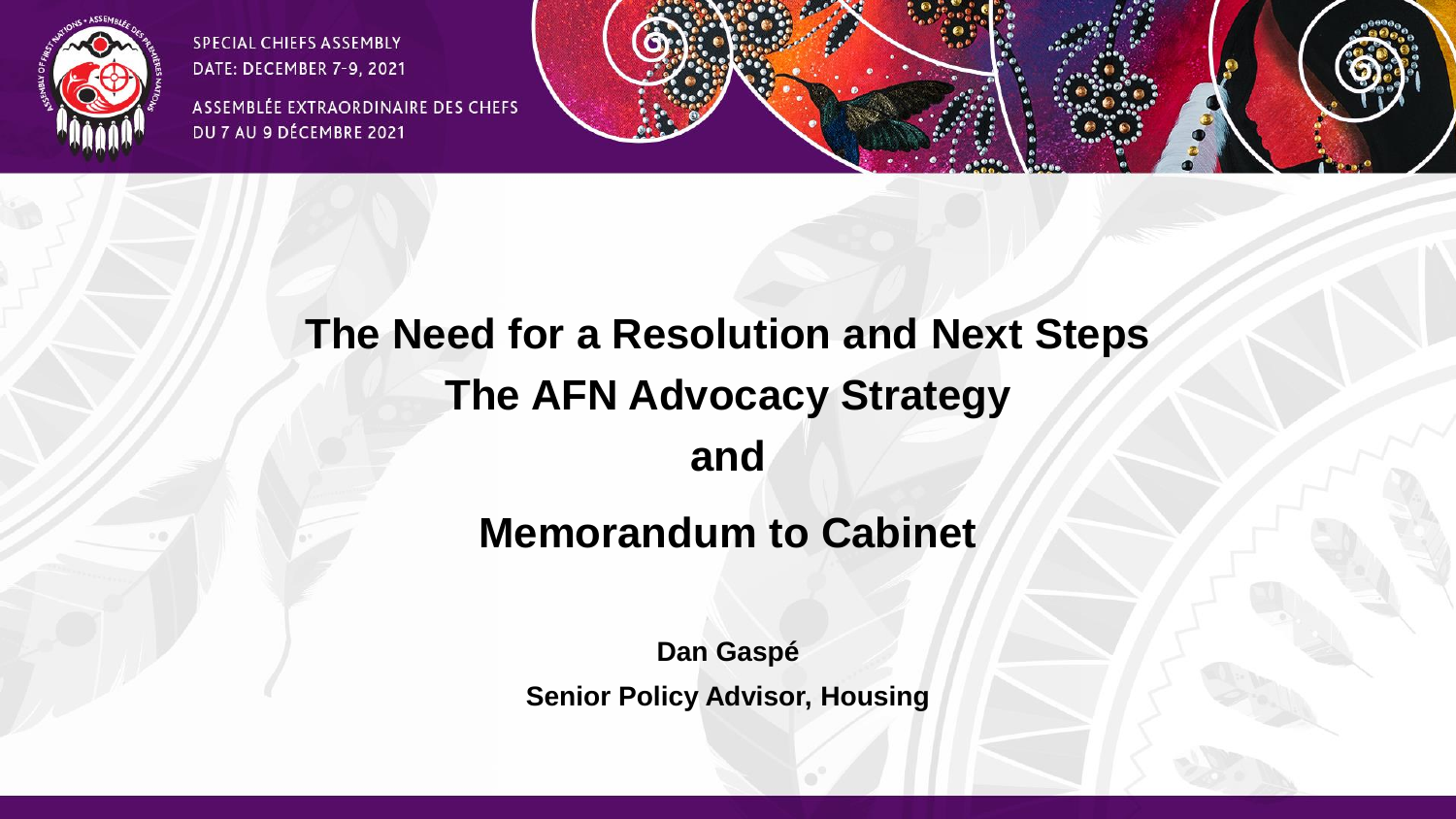

ASSEMBLÉE EXTRAORDINAIRE DES CHEFS DU 7 AU 9 DÉCEMBRE 2021



## **The Need for a Resolution and Next Steps The AFN Advocacy Strategy and**

### **Memorandum to Cabinet**

**Dan Gaspé Senior Policy Advisor, Housing**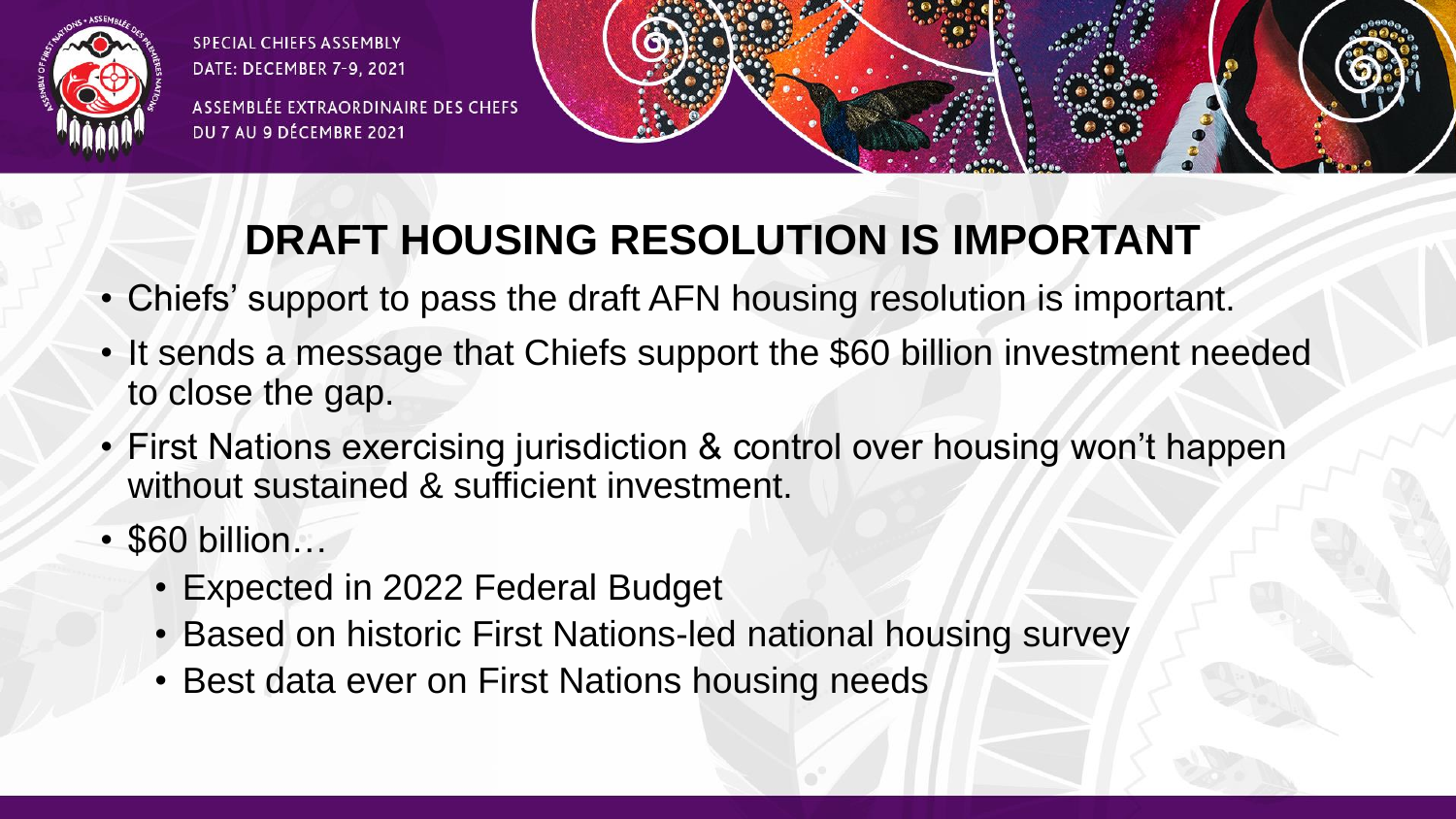

ASSEMBLÉE EXTRAORDINAIRE DES CHEFS DU 7 AU 9 DÉCEMBRE 2021



## **DRAFT HOUSING RESOLUTION IS IMPORTANT**

- Chiefs' support to pass the draft AFN housing resolution is important.
- It sends a message that Chiefs support the \$60 billion investment needed to close the gap.
- First Nations exercising jurisdiction & control over housing won't happen without sustained & sufficient investment.
- \$60 billion…
	- Expected in 2022 Federal Budget
	- Based on historic First Nations-led national housing survey
	- Best data ever on First Nations housing needs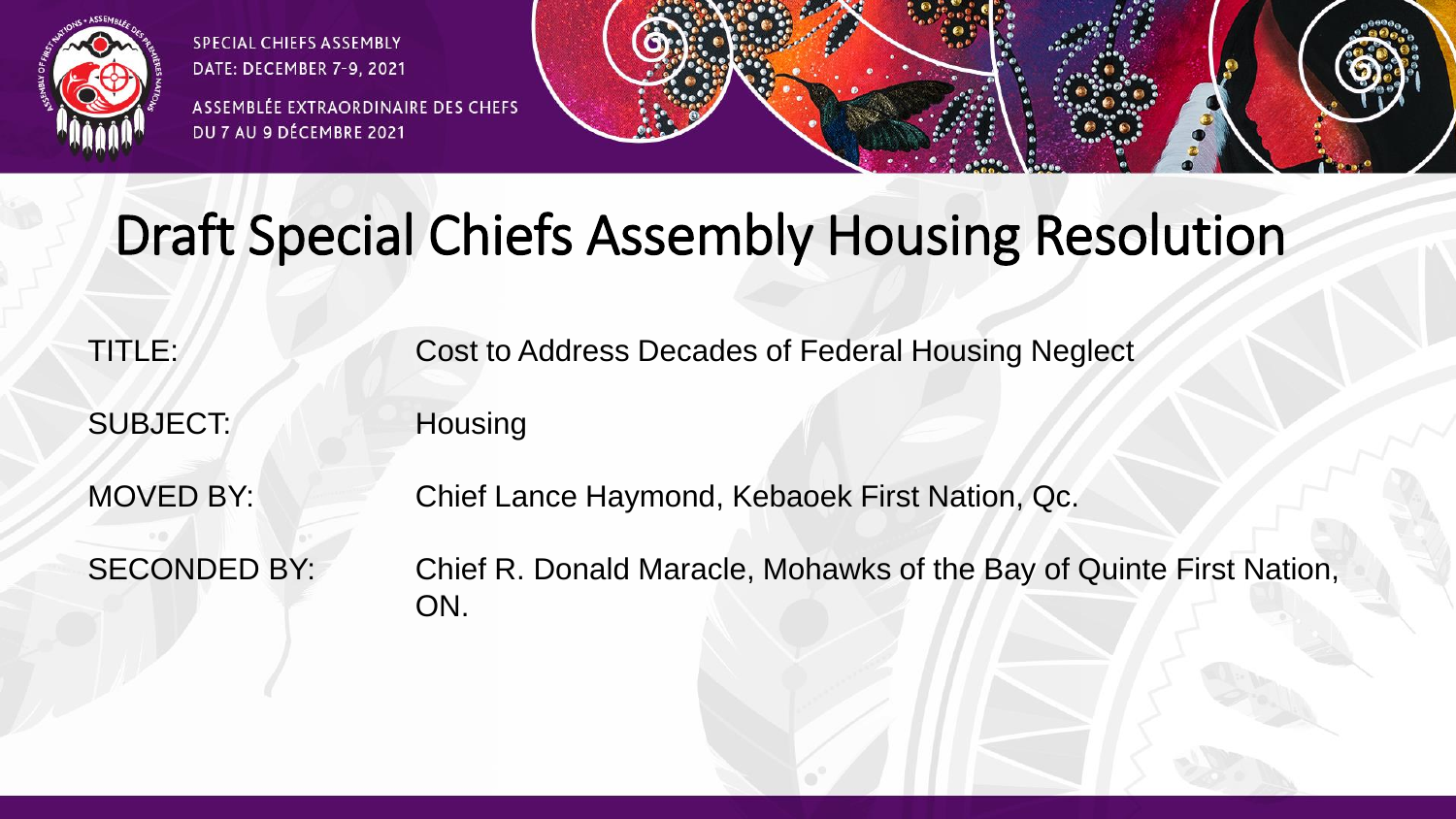

ASSEMBLÉE EXTRAORDINAIRE DES CHEFS DU 7 AU 9 DÉCEMBRE 2021



# Draft Special Chiefs Assembly Housing Resolution

SUBJECT: Housing

TITLE: Cost to Address Decades of Federal Housing Neglect

MOVED BY: Chief Lance Haymond, Kebaoek First Nation, Qc.

SECONDED BY: Chief R. Donald Maracle, Mohawks of the Bay of Quinte First Nation, ON.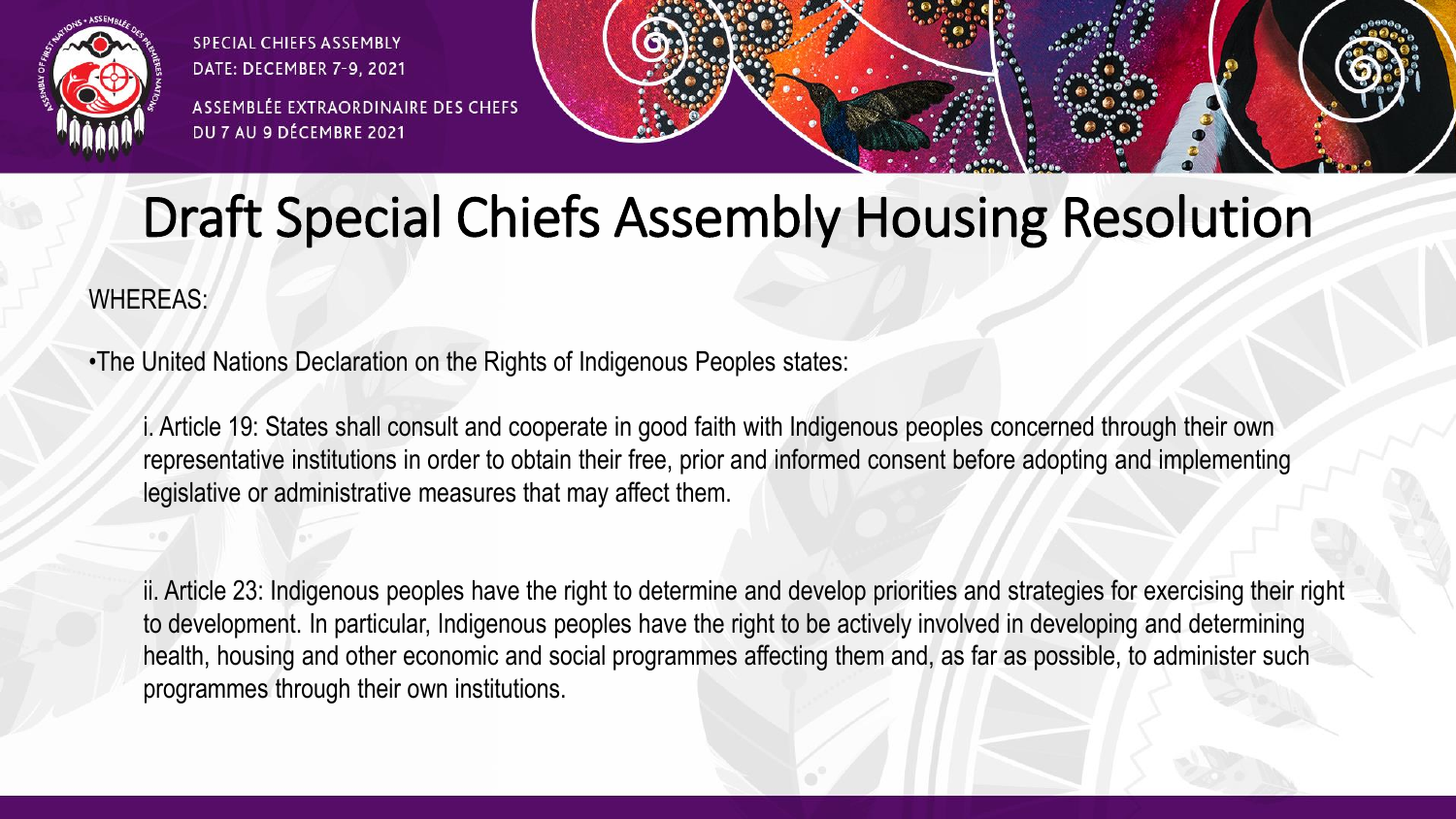

ASSEMBLÉE EXTRAORDINAIRE DES CHEFS DU 7 AU 9 DÉCEMBRE 2021



# Draft Special Chiefs Assembly Housing Resolution

#### WHEREAS:

•The United Nations Declaration on the Rights of Indigenous Peoples states:

i. Article 19: States shall consult and cooperate in good faith with Indigenous peoples concerned through their own representative institutions in order to obtain their free, prior and informed consent before adopting and implementing legislative or administrative measures that may affect them.

ii. Article 23: Indigenous peoples have the right to determine and develop priorities and strategies for exercising their right to development. In particular, Indigenous peoples have the right to be actively involved in developing and determining health, housing and other economic and social programmes affecting them and, as far as possible, to administer such programmes through their own institutions.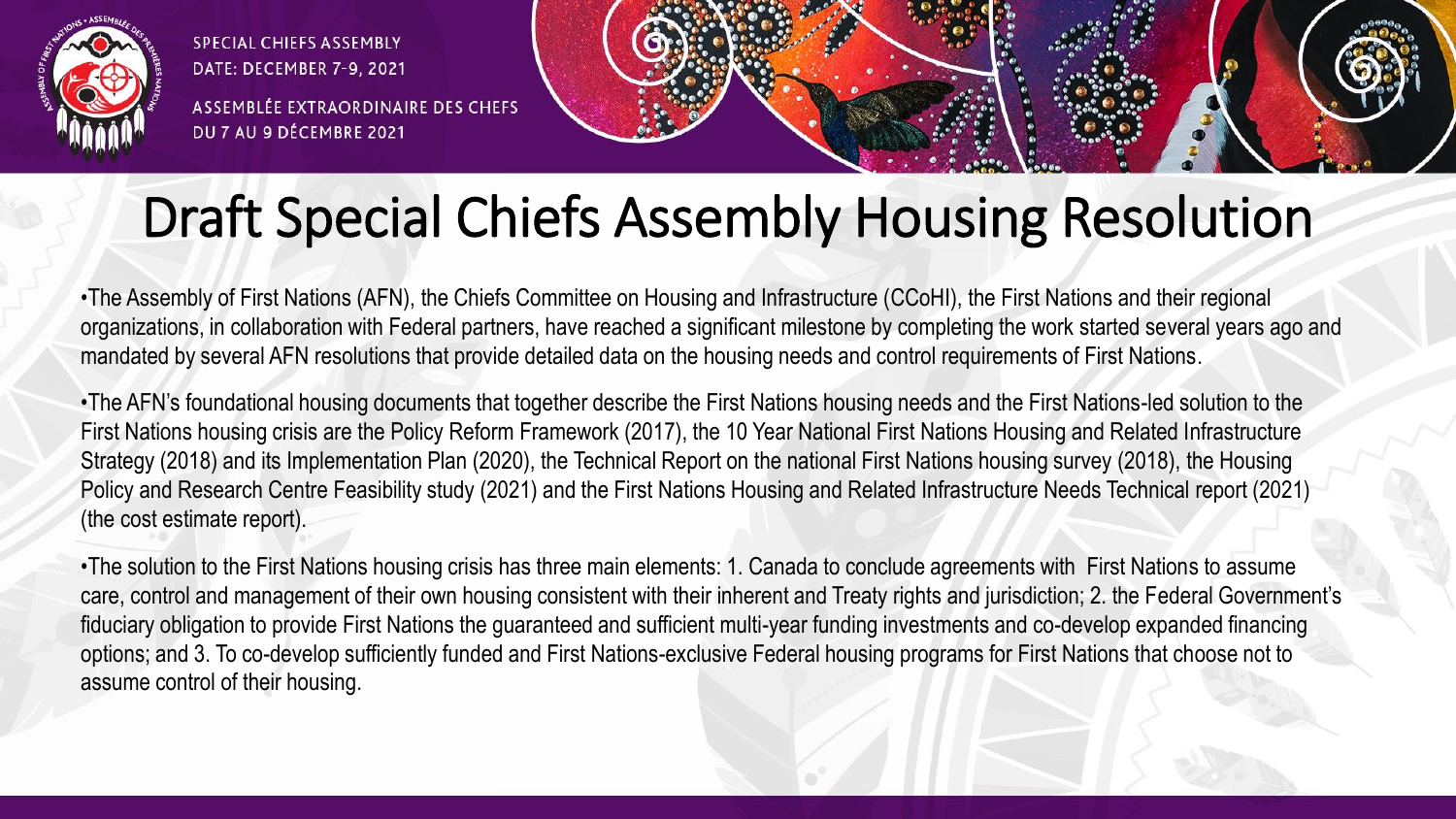

ASSEMBLÉE EXTRAORDINAIRE DES CHEFS DU 7 AU 9 DÉCEMBRE 2021



# Draft Special Chiefs Assembly Housing Resolution

•The Assembly of First Nations (AFN), the Chiefs Committee on Housing and Infrastructure (CCoHI), the First Nations and their regional organizations, in collaboration with Federal partners, have reached a significant milestone by completing the work started several years ago and mandated by several AFN resolutions that provide detailed data on the housing needs and control requirements of First Nations.

•The AFN's foundational housing documents that together describe the First Nations housing needs and the First Nations-led solution to the First Nations housing crisis are the Policy Reform Framework (2017), the 10 Year National First Nations Housing and Related Infrastructure Strategy (2018) and its Implementation Plan (2020), the Technical Report on the national First Nations housing survey (2018), the Housing Policy and Research Centre Feasibility study (2021) and the First Nations Housing and Related Infrastructure Needs Technical report (2021) (the cost estimate report).

•The solution to the First Nations housing crisis has three main elements: 1. Canada to conclude agreements with First Nations to assume care, control and management of their own housing consistent with their inherent and Treaty rights and jurisdiction; 2. the Federal Government's fiduciary obligation to provide First Nations the guaranteed and sufficient multi-year funding investments and co-develop expanded financing options; and 3. To co-develop sufficiently funded and First Nations-exclusive Federal housing programs for First Nations that choose not to assume control of their housing.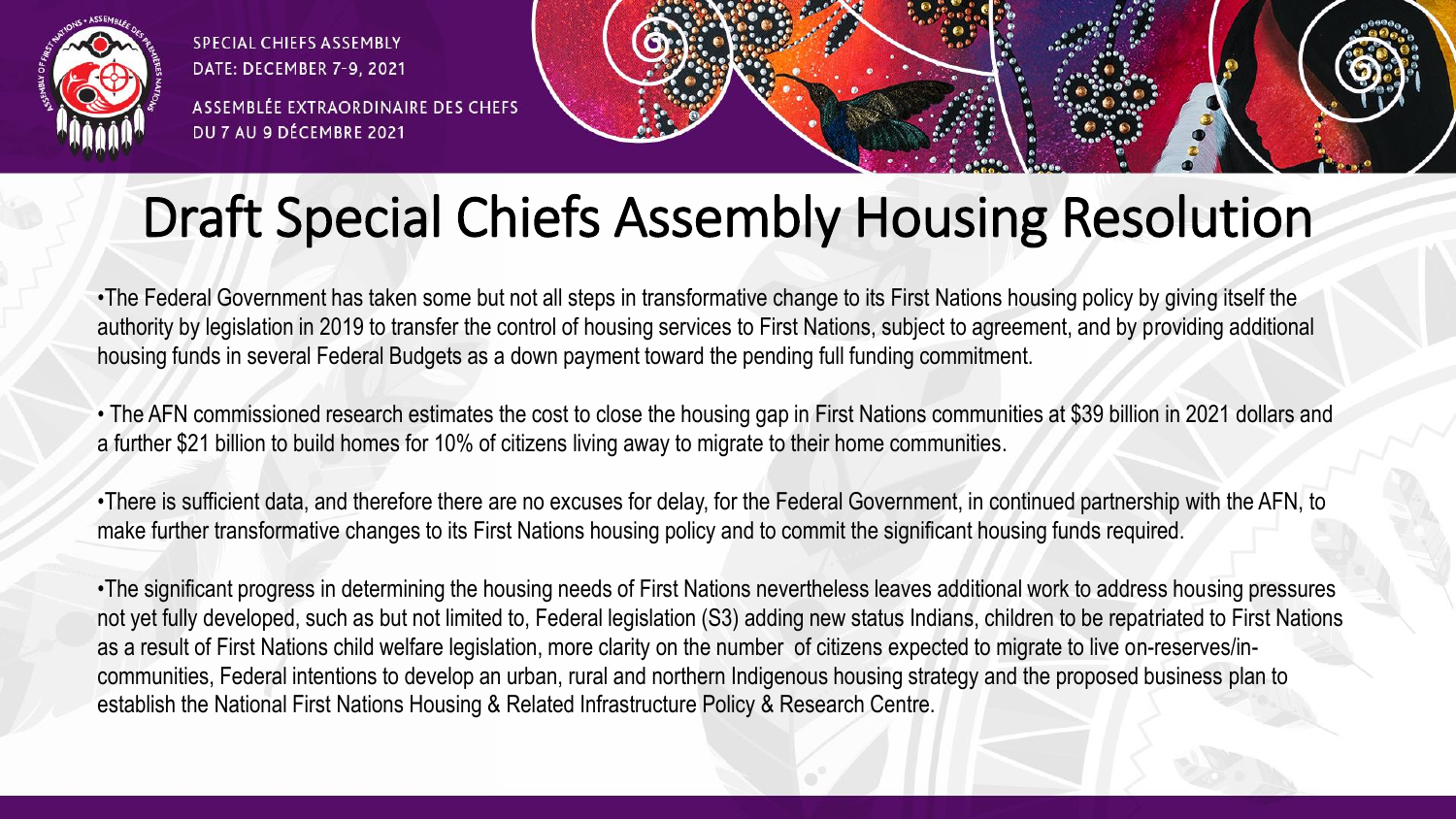

ASSEMBLÉE EXTRAORDINAIRE DES CHEFS DU 7 AU 9 DÉCEMBRE 2021



# Draft Special Chiefs Assembly Housing Resolution

•The Federal Government has taken some but not all steps in transformative change to its First Nations housing policy by giving itself the authority by legislation in 2019 to transfer the control of housing services to First Nations, subject to agreement, and by providing additional housing funds in several Federal Budgets as a down payment toward the pending full funding commitment.

• The AFN commissioned research estimates the cost to close the housing gap in First Nations communities at \$39 billion in 2021 dollars and a further \$21 billion to build homes for 10% of citizens living away to migrate to their home communities.

•There is sufficient data, and therefore there are no excuses for delay, for the Federal Government, in continued partnership with the AFN, to make further transformative changes to its First Nations housing policy and to commit the significant housing funds required.

•The significant progress in determining the housing needs of First Nations nevertheless leaves additional work to address housing pressures not yet fully developed, such as but not limited to, Federal legislation (S3) adding new status Indians, children to be repatriated to First Nations as a result of First Nations child welfare legislation, more clarity on the number of citizens expected to migrate to live on-reserves/incommunities, Federal intentions to develop an urban, rural and northern Indigenous housing strategy and the proposed business plan to establish the National First Nations Housing & Related Infrastructure Policy & Research Centre.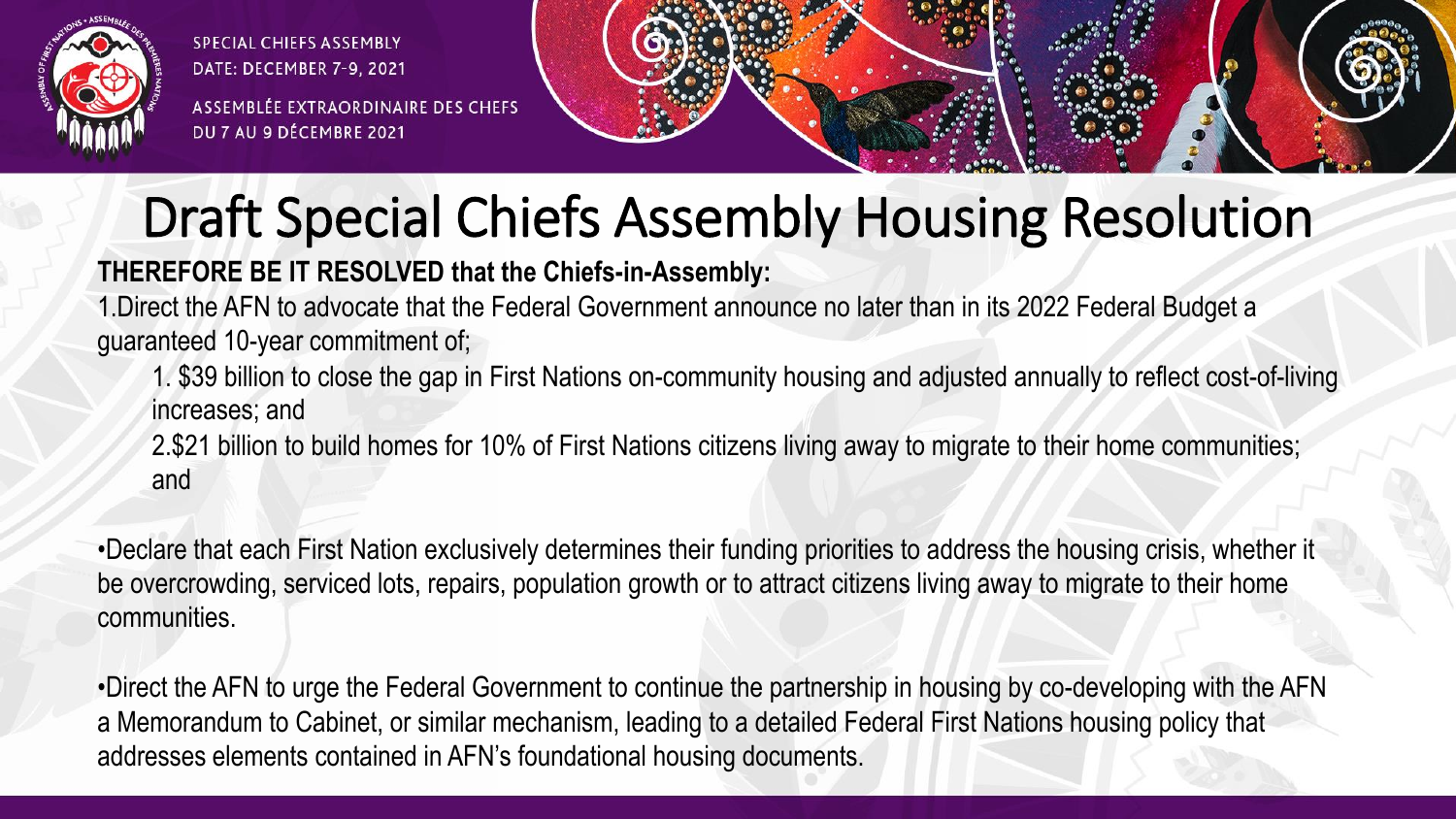

ASSEMBLÉE EXTRAORDINAIRE DES CHEFS DU 7 AU 9 DÉCEMBRE 2021



# Draft Special Chiefs Assembly Housing Resolution

#### **THEREFORE BE IT RESOLVED that the Chiefs-in-Assembly:**

1.Direct the AFN to advocate that the Federal Government announce no later than in its 2022 Federal Budget a guaranteed 10-year commitment of;

1. \$39 billion to close the gap in First Nations on-community housing and adjusted annually to reflect cost-of-living increases; and

2.\$21 billion to build homes for 10% of First Nations citizens living away to migrate to their home communities; and

•Declare that each First Nation exclusively determines their funding priorities to address the housing crisis, whether it be overcrowding, serviced lots, repairs, population growth or to attract citizens living away to migrate to their home communities.

•Direct the AFN to urge the Federal Government to continue the partnership in housing by co-developing with the AFN a Memorandum to Cabinet, or similar mechanism, leading to a detailed Federal First Nations housing policy that addresses elements contained in AFN's foundational housing documents.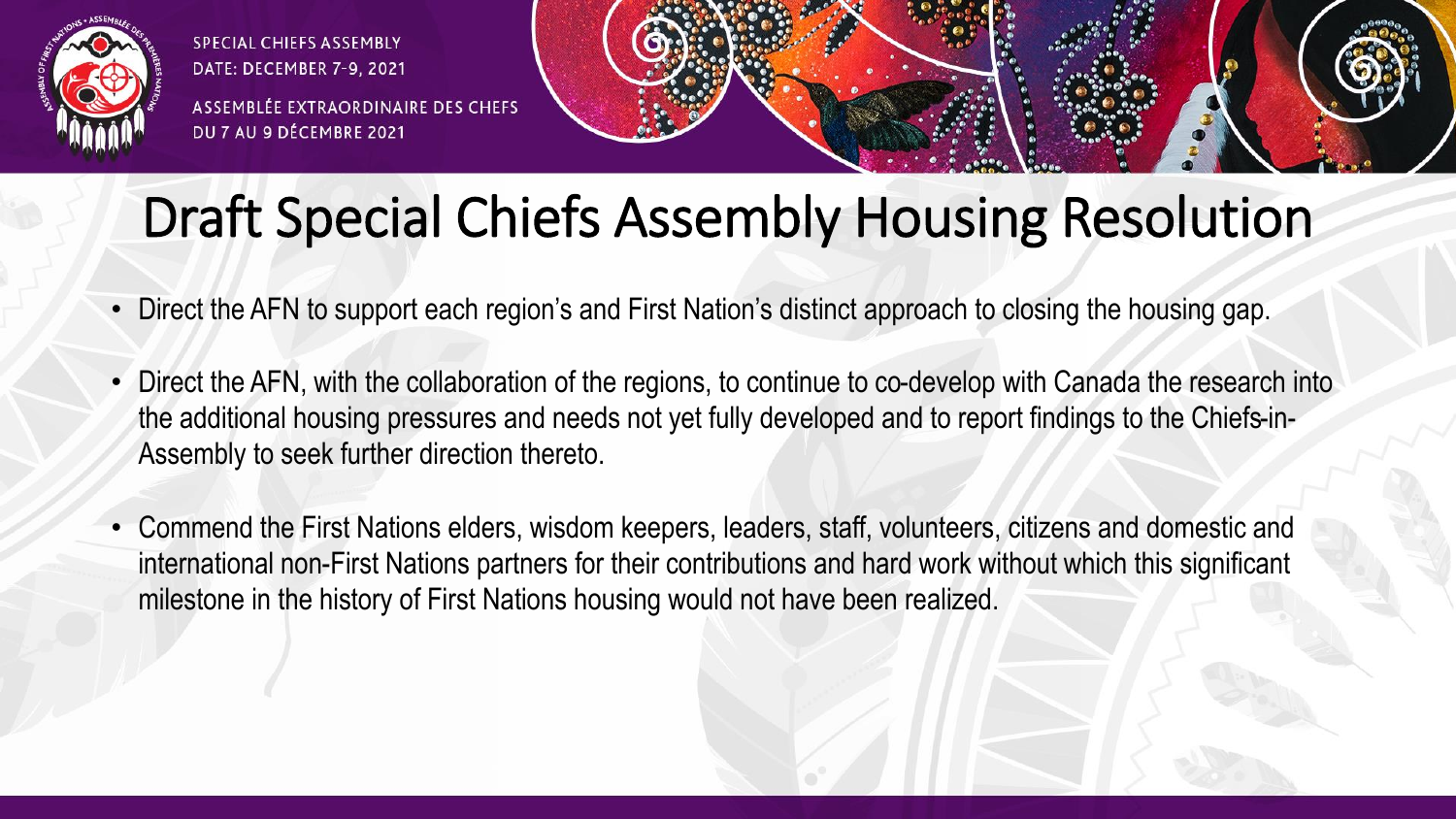

ASSEMBLÉE EXTRAORDINAIRE DES CHEFS DU 7 AU 9 DÉCEMBRE 2021



# Draft Special Chiefs Assembly Housing Resolution

- Direct the AFN to support each region's and First Nation's distinct approach to closing the housing gap.
- Direct the AFN, with the collaboration of the regions, to continue to co-develop with Canada the research into the additional housing pressures and needs not yet fully developed and to report findings to the Chiefs-in-Assembly to seek further direction thereto.
- Commend the First Nations elders, wisdom keepers, leaders, staff, volunteers, citizens and domestic and international non-First Nations partners for their contributions and hard work without which this significant milestone in the history of First Nations housing would not have been realized.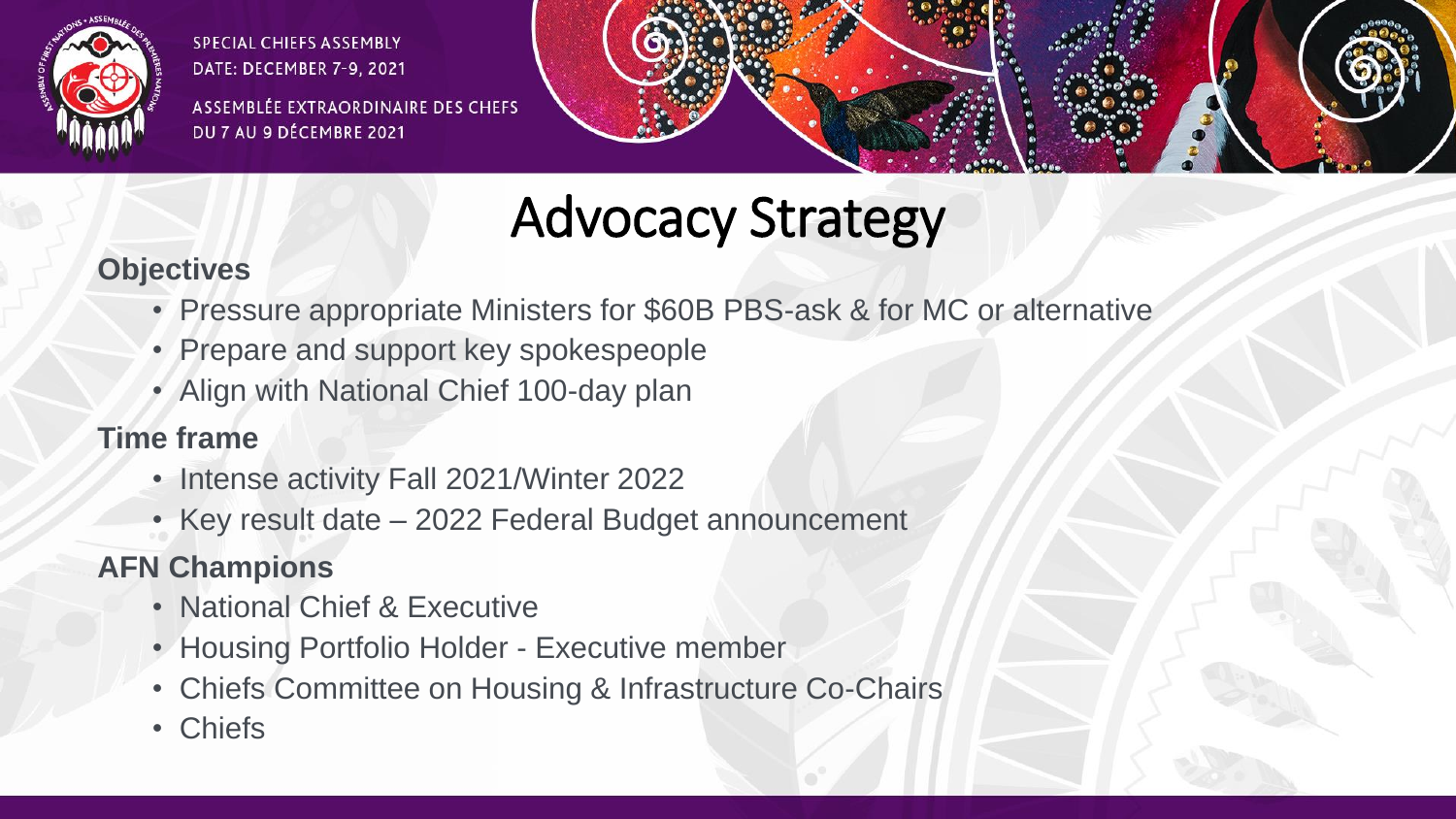

ASSEMBLÉE EXTRAORDINAIRE DES CHEFS DU 7 AU 9 DÉCEMBRE 2021



# Advocacy Strategy

#### **Objectives**

- Pressure appropriate Ministers for \$60B PBS-ask & for MC or alternative
- Prepare and support key spokespeople
- Align with National Chief 100-day plan

#### **Time frame**

- Intense activity Fall 2021/Winter 2022
- Key result date 2022 Federal Budget announcement

### **AFN Champions**

- National Chief & Executive
- Housing Portfolio Holder Executive member
- Chiefs Committee on Housing & Infrastructure Co-Chairs
- Chiefs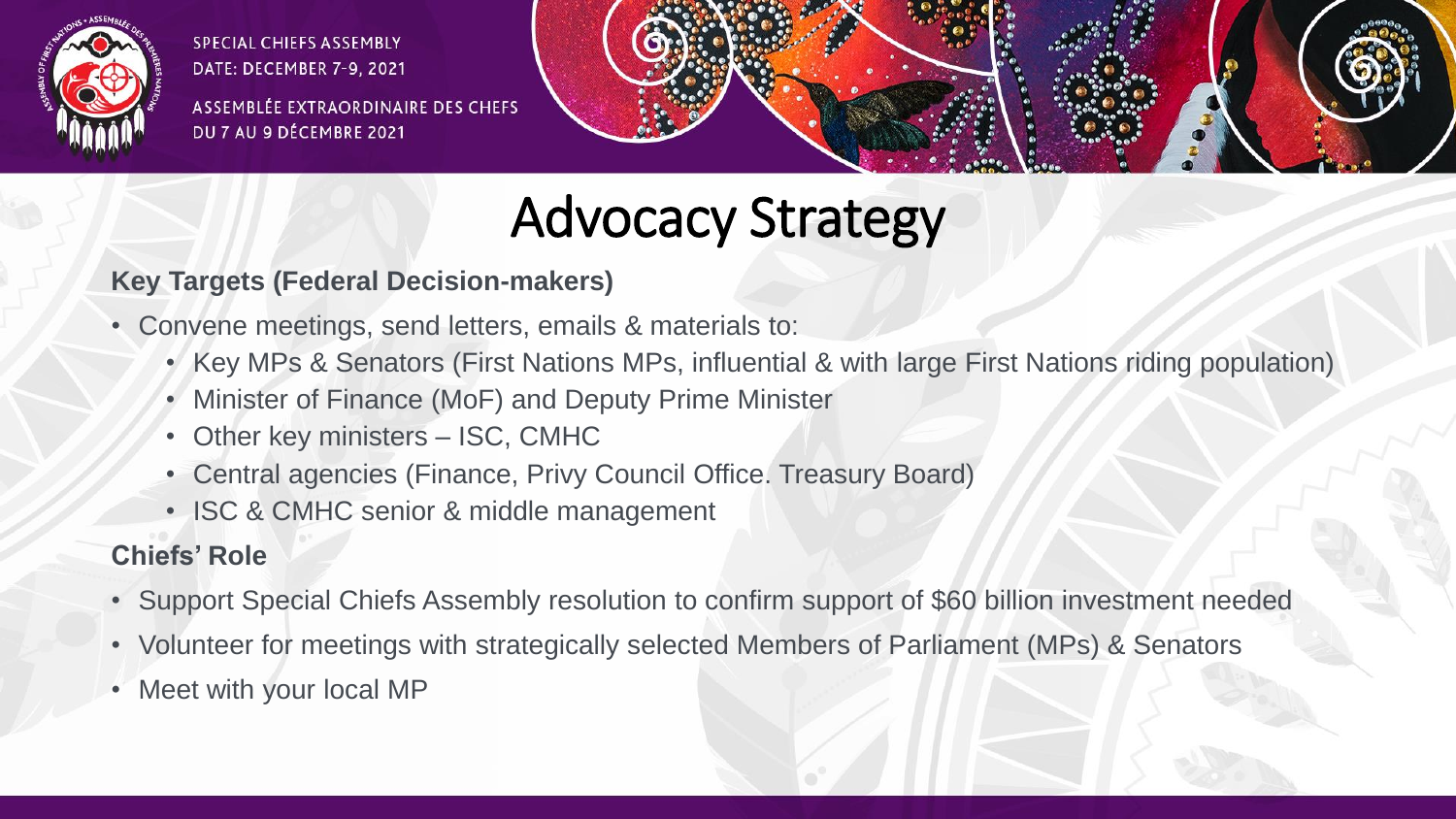

ASSEMBLÉE EXTRAORDINAIRE DES CHEFS DU 7 AU 9 DÉCEMBRE 2021



# Advocacy Strategy

#### **Key Targets (Federal Decision-makers)**

- Convene meetings, send letters, emails & materials to:
	- Key MPs & Senators (First Nations MPs, influential & with large First Nations riding population)
	- Minister of Finance (MoF) and Deputy Prime Minister
	- Other key ministers ISC, CMHC
	- Central agencies (Finance, Privy Council Office. Treasury Board)
	- ISC & CMHC senior & middle management

#### **Chiefs' Role**

- Support Special Chiefs Assembly resolution to confirm support of \$60 billion investment needed
- Volunteer for meetings with strategically selected Members of Parliament (MPs) & Senators
- Meet with your local MP